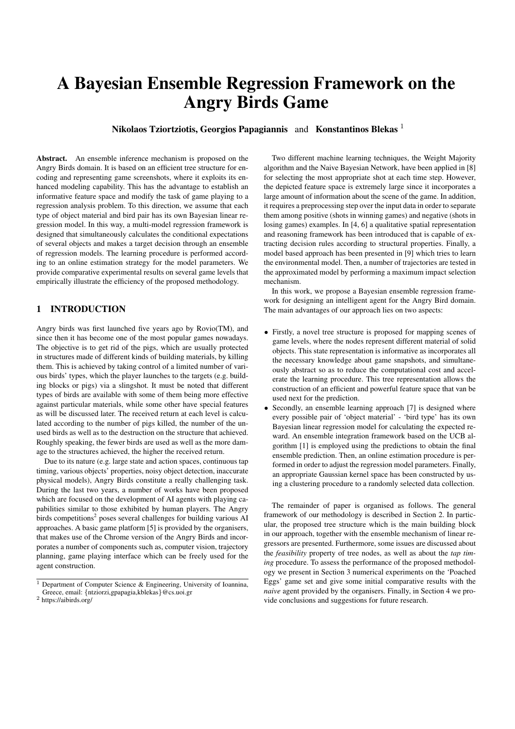# A Bayesian Ensemble Regression Framework on the Angry Birds Game

Nikolaos Tziortziotis, Georgios Papagiannis and Konstantinos Blekas<sup>1</sup>

Abstract. An ensemble inference mechanism is proposed on the Angry Birds domain. It is based on an efficient tree structure for encoding and representing game screenshots, where it exploits its enhanced modeling capability. This has the advantage to establish an informative feature space and modify the task of game playing to a regression analysis problem. To this direction, we assume that each type of object material and bird pair has its own Bayesian linear regression model. In this way, a multi-model regression framework is designed that simultaneously calculates the conditional expectations of several objects and makes a target decision through an ensemble of regression models. The learning procedure is performed according to an online estimation strategy for the model parameters. We provide comparative experimental results on several game levels that empirically illustrate the efficiency of the proposed methodology.

# 1 INTRODUCTION

Angry birds was first launched five years ago by Rovio(TM), and since then it has become one of the most popular games nowadays. The objective is to get rid of the pigs, which are usually protected in structures made of different kinds of building materials, by killing them. This is achieved by taking control of a limited number of various birds' types, which the player launches to the targets (e.g. building blocks or pigs) via a slingshot. It must be noted that different types of birds are available with some of them being more effective against particular materials, while some other have special features as will be discussed later. The received return at each level is calculated according to the number of pigs killed, the number of the unused birds as well as to the destruction on the structure that achieved. Roughly speaking, the fewer birds are used as well as the more damage to the structures achieved, the higher the received return.

Due to its nature (e.g. large state and action spaces, continuous tap timing, various objects' properties, noisy object detection, inaccurate physical models), Angry Birds constitute a really challenging task. During the last two years, a number of works have been proposed which are focused on the development of AI agents with playing capabilities similar to those exhibited by human players. The Angry birds competitions<sup>2</sup> poses several challenges for building various AI approaches. A basic game platform [5] is provided by the organisers, that makes use of the Chrome version of the Angry Birds and incorporates a number of components such as, computer vision, trajectory planning, game playing interface which can be freely used for the agent construction.

Two different machine learning techniques, the Weight Majority algorithm and the Naive Bayesian Network, have been applied in [8] for selecting the most appropriate shot at each time step. However, the depicted feature space is extremely large since it incorporates a large amount of information about the scene of the game. In addition, it requires a preprocessing step over the input data in order to separate them among positive (shots in winning games) and negative (shots in losing games) examples. In [4, 6] a qualitative spatial representation and reasoning framework has been introduced that is capable of extracting decision rules according to structural properties. Finally, a model based approach has been presented in [9] which tries to learn the environmental model. Then, a number of trajectories are tested in the approximated model by performing a maximum impact selection mechanism.

In this work, we propose a Bayesian ensemble regression framework for designing an intelligent agent for the Angry Bird domain. The main advantages of our approach lies on two aspects:

- Firstly, a novel tree structure is proposed for mapping scenes of game levels, where the nodes represent different material of solid objects. This state representation is informative as incorporates all the necessary knowledge about game snapshots, and simultaneously abstract so as to reduce the computational cost and accelerate the learning procedure. This tree representation allows the construction of an efficient and powerful feature space that van be used next for the prediction.
- Secondly, an ensemble learning approach [7] is designed where every possible pair of 'object material' - 'bird type' has its own Bayesian linear regression model for calculating the expected reward. An ensemble integration framework based on the UCB algorithm [1] is employed using the predictions to obtain the final ensemble prediction. Then, an online estimation procedure is performed in order to adjust the regression model parameters. Finally, an appropriate Gaussian kernel space has been constructed by using a clustering procedure to a randomly selected data collection.

The remainder of paper is organised as follows. The general framework of our methodology is described in Section 2. In particular, the proposed tree structure which is the main building block in our approach, together with the ensemble mechanism of linear regressors are presented. Furthermore, some issues are discussed about the *feasibility* property of tree nodes, as well as about the *tap timing* procedure. To assess the performance of the proposed methodology we present in Section 3 numerical experiments on the 'Poached Eggs' game set and give some initial comparative results with the *naive* agent provided by the organisers. Finally, in Section 4 we provide conclusions and suggestions for future research.

<sup>&</sup>lt;sup>1</sup> Department of Computer Science & Engineering, University of Ioannina, Greece, email: {ntziorzi,gpapagia,kblekas}@cs.uoi.gr

<sup>2</sup> https://aibirds.org/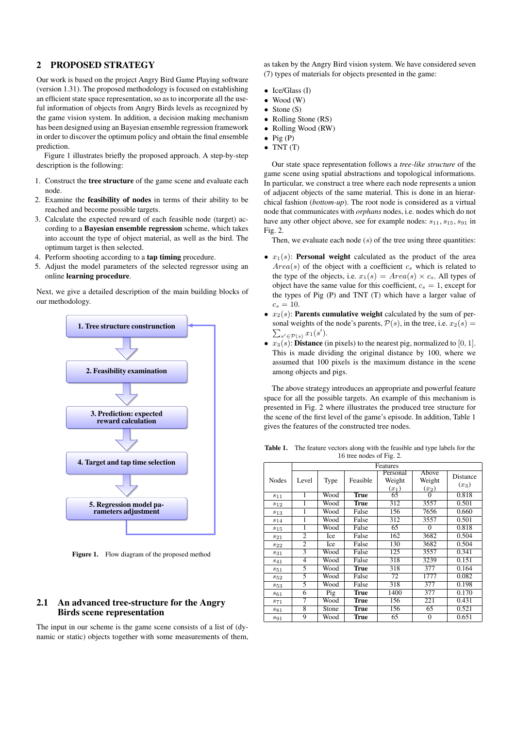## 2 PROPOSED STRATEGY

Our work is based on the project Angry Bird Game Playing software (version 1.31). The proposed methodology is focused on establishing an efficient state space representation, so as to incorporate all the useful information of objects from Angry Birds levels as recognized by the game vision system. In addition, a decision making mechanism has been designed using an Bayesian ensemble regression framework in order to discover the optimum policy and obtain the final ensemble prediction.

Figure 1 illustrates briefly the proposed approach. A step-by-step description is the following:

- 1. Construct the tree structure of the game scene and evaluate each node.
- 2. Examine the feasibility of nodes in terms of their ability to be reached and become possible targets.
- 3. Calculate the expected reward of each feasible node (target) according to a Bayesian ensemble regression scheme, which takes into account the type of object material, as well as the bird. The optimum target is then selected.
- 4. Perform shooting according to a tap timing procedure.
- 5. Adjust the model parameters of the selected regressor using an online learning procedure.

Next, we give a detailed description of the main building blocks of our methodology.



Figure 1. Flow diagram of the proposed method

## 2.1 An advanced tree-structure for the Angry Birds scene representation

The input in our scheme is the game scene consists of a list of (dynamic or static) objects together with some measurements of them, as taken by the Angry Bird vision system. We have considered seven (7) types of materials for objects presented in the game:

- $\bullet$  Ice/Glass (I)
- Wood (W)
- Stone (S)
- Rolling Stone (RS)
- Rolling Wood (RW)
- $\bullet$  Pig (P)
	- $\bullet$  TNT  $(T)$

Our state space representation follows a *tree-like structure* of the game scene using spatial abstractions and topological informations. In particular, we construct a tree where each node represents a union of adjacent objects of the same material. This is done in an hierarchical fashion (*bottom-up*). The root node is considered as a virtual node that communicates with *orphans* nodes, i.e. nodes which do not have any other object above, see for example nodes:  $s_{11}, s_{15}, s_{91}$  in Fig. 2.

Then, we evaluate each node  $(s)$  of the tree using three quantities:

- $x_1(s)$ : **Personal weight** calculated as the product of the area  $Area(s)$  of the object with a coefficient  $c_s$  which is related to the type of the objects, i.e.  $x_1(s) = Area(s) \times c_s$ . All types of object have the same value for this coefficient,  $c_s = 1$ , except for the types of Pig (P) and TNT (T) which have a larger value of  $c_s = 10$ .
- $x_2(s)$ : **Parents cumulative weight** calculated by the sum of personal weights of the node's parents,  $P(s)$ , in the tree, i.e.  $x_2(s) =$  $\sum_{s' \in \mathcal{P}(s)} x_1(s')$ .
- $x_3(s)$ : **Distance** (in pixels) to the nearest pig, normalized to [0, 1]. This is made dividing the original distance by 100, where we assumed that 100 pixels is the maximum distance in the scene among objects and pigs.

The above strategy introduces an appropriate and powerful feature space for all the possible targets. An example of this mechanism is presented in Fig. 2 where illustrates the produced tree structure for the scene of the first level of the game's episode. In addition, Table 1 gives the features of the constructed tree nodes.

Table 1. The feature vectors along with the feasible and type labels for the 16 tree nodes of Fig. 2.

| $\frac{1}{2}$   |                |       |             |                               |                            |                     |  |  |  |
|-----------------|----------------|-------|-------------|-------------------------------|----------------------------|---------------------|--|--|--|
|                 | Features       |       |             |                               |                            |                     |  |  |  |
| Nodes           | Level          | Type  | Feasible    | Personal<br>Weight<br>$(x_1)$ | Above<br>Weight<br>$(x_2)$ | Distance<br>$(x_3)$ |  |  |  |
| $s_{11}$        | 1              | Wood  | <b>True</b> | $\overline{65}$               | $\mathbf{\Omega}$          | 0.818               |  |  |  |
| $s_{12}$        | 1              | Wood  | <b>True</b> | $\overline{312}$              | 3557                       | 0.501               |  |  |  |
| $s_{13}$        | 1              | Wood  | False       | 156                           | 7656                       | 0.660               |  |  |  |
| $s_{14}$        | 1              | Wood  | False       | 312                           | 3557                       | 0.501               |  |  |  |
| $s_{15}$        | 1              | Wood  | False       | 65                            | $\theta$                   | 0.818               |  |  |  |
| $s_{21}$        | $\overline{2}$ | Ice   | False       | 162                           | 3682                       | 0.504               |  |  |  |
| $s_{22}$        | $\overline{2}$ | Ice   | False       | 130                           | 3682                       | 0.504               |  |  |  |
| $\sqrt{s_{31}}$ | 3              | Wood  | False       | 125                           | 3557                       | 0.341               |  |  |  |
| $s_{41}$        | 4              | Wood  | False       | 318                           | 3239                       | 0.151               |  |  |  |
| $s_{51}$        | 5              | Wood  | True        | 318                           | 377                        | 0.164               |  |  |  |
| $s_{52}$        | 5              | Wood  | False       | 72                            | 1777                       | 0.082               |  |  |  |
| $s_{53}$        | 5              | Wood  | False       | 318                           | 377                        | 0.198               |  |  |  |
| $s_{61}$        | 6              | Pig   | True        | 1400                          | 377                        | 0.170               |  |  |  |
| $s_{71}$        | 7              | Wood  | <b>True</b> | 156                           | 221                        | 0.431               |  |  |  |
| $s_{81}$        | 8              | Stone | True        | 156                           | 65                         | 0.521               |  |  |  |
| $s_{91}$        | 9              | Wood  | <b>True</b> | 65                            | $\overline{0}$             | 0.651               |  |  |  |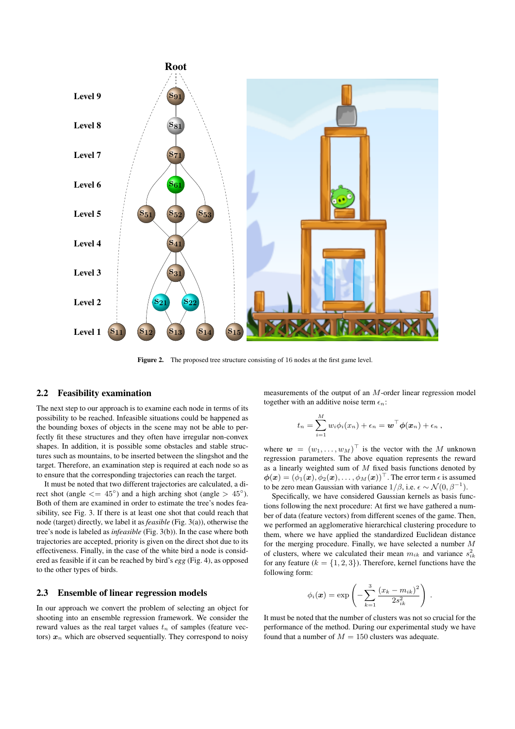

Figure 2. The proposed tree structure consisting of 16 nodes at the first game level.

#### 2.2 Feasibility examination

The next step to our approach is to examine each node in terms of its possibility to be reached. Infeasible situations could be happened as the bounding boxes of objects in the scene may not be able to perfectly fit these structures and they often have irregular non-convex shapes. In addition, it is possible some obstacles and stable structures such as mountains, to be inserted between the slingshot and the target. Therefore, an examination step is required at each node so as to ensure that the corresponding trajectories can reach the target.

It must be noted that two different trajectories are calculated, a direct shot (angle  $\langle = 45^{\circ} \rangle$  and a high arching shot (angle  $> 45^{\circ}$ ). Both of them are examined in order to estimate the tree's nodes feasibility, see Fig. 3. If there is at least one shot that could reach that node (target) directly, we label it as *feasible* (Fig. 3(a)), otherwise the tree's node is labeled as *infeasible* (Fig. 3(b)). In the case where both trajectories are accepted, priority is given on the direct shot due to its effectiveness. Finally, in the case of the white bird a node is considered as feasible if it can be reached by bird's *egg* (Fig. 4), as opposed to the other types of birds.

## 2.3 Ensemble of linear regression models

In our approach we convert the problem of selecting an object for shooting into an ensemble regression framework. We consider the reward values as the real target values  $t_n$  of samples (feature vectors)  $x_n$  which are observed sequentially. They correspond to noisy

measurements of the output of an M-order linear regression model together with an additive noise term  $\epsilon_n$ :

$$
t_n = \sum_{i=1}^M w_i \phi_i(x_n) + \epsilon_n = \boldsymbol{w}^\top \boldsymbol{\phi}(\boldsymbol{x}_n) + \epsilon_n ,
$$

where  $\mathbf{w} = (w_1, \dots, w_M)^\top$  is the vector with the M unknown regression parameters. The above equation represents the reward as a linearly weighted sum of  $M$  fixed basis functions denoted by  $\boldsymbol{\phi}(\boldsymbol{x}) = (\phi_1(\boldsymbol{x}), \phi_2(\boldsymbol{x}), \dots, \phi_M(\boldsymbol{x}))^\top$ . The error term  $\epsilon$  is assumed to be zero mean Gaussian with variance  $1/\beta$ , i.e.  $\epsilon \sim \mathcal{N}(0, \beta^{-1})$ .

Specifically, we have considered Gaussian kernels as basis functions following the next procedure: At first we have gathered a number of data (feature vectors) from different scenes of the game. Then, we performed an agglomerative hierarchical clustering procedure to them, where we have applied the standardized Euclidean distance for the merging procedure. Finally, we have selected a number  $M$ of clusters, where we calculated their mean  $m_{ik}$  and variance  $s_{ik}^2$ for any feature ( $k = \{1, 2, 3\}$ ). Therefore, kernel functions have the following form:

$$
\phi_i(\boldsymbol{x}) = \exp\left(-\sum_{k=1}^3 \frac{(x_k - m_{ik})^2}{2s_{ik}^2}\right)
$$

.

It must be noted that the number of clusters was not so crucial for the performance of the method. During our experimental study we have found that a number of  $M = 150$  clusters was adequate.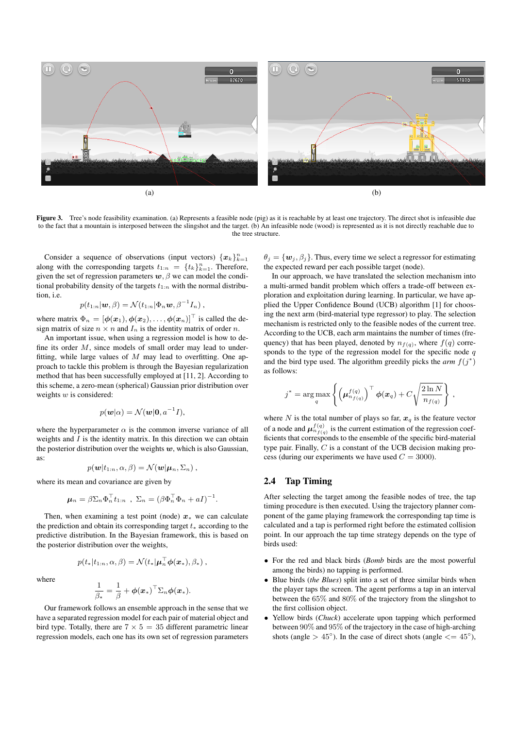

Figure 3. Tree's node feasibility examination. (a) Represents a feasible node (pig) as it is reachable by at least one trajectory. The direct shot is infeasible due to the fact that a mountain is interposed between the slingshot and the target. (b) An infeasible node (wood) is represented as it is not directly reachable due to the tree structure.

Consider a sequence of observations (input vectors)  $\{x_k\}_{k=1}^n$ along with the corresponding targets  $t_{1:n} = \{t_k\}_{k=1}^n$ . Therefore, given the set of regression parameters  $w, \beta$  we can model the conditional probability density of the targets  $t_{1:n}$  with the normal distribution, i.e.

$$
p(t_{1:n}|\boldsymbol{w},\beta) = \mathcal{N}(t_{1:n}|\Phi_n\boldsymbol{w},\beta^{-1}I_n),
$$

where matrix  $\Phi_n = [\phi(\boldsymbol{x}_1), \phi(\boldsymbol{x}_2), \dots, \phi(\boldsymbol{x}_n)]^\top$  is called the design matrix of size  $n \times n$  and  $I_n$  is the identity matrix of order n.

An important issue, when using a regression model is how to define its order  $M$ , since models of small order may lead to underfitting, while large values of  $M$  may lead to overfitting. One approach to tackle this problem is through the Bayesian regularization method that has been successfully employed at [11, 2]. According to this scheme, a zero-mean (spherical) Gaussian prior distribution over weights  $w$  is considered:

$$
p(\mathbf{w}|\alpha) = \mathcal{N}(\mathbf{w}|\mathbf{0}, a^{-1}I),
$$

where the hyperparameter  $\alpha$  is the common inverse variance of all weights and  $I$  is the identity matrix. In this direction we can obtain the posterior distribution over the weights  $w$ , which is also Gaussian, as:

$$
p(\boldsymbol{w}|t_{1:n},\alpha,\beta)=\mathcal{N}(\boldsymbol{w}|\boldsymbol{\mu}_n,\Sigma_n),
$$

where its mean and covariance are given by

$$
\boldsymbol{\mu}_n = \beta \Sigma_n \Phi_n^{\top} t_{1:n} , \Sigma_n = (\beta \Phi_n^{\top} \Phi_n + aI)^{-1}.
$$

Then, when examining a test point (node)  $x_*$  we can calculate the prediction and obtain its corresponding target  $t_*$  according to the predictive distribution. In the Bayesian framework, this is based on the posterior distribution over the weights,

$$
p(t_*|t_{1:n}, \alpha, \beta) = \mathcal{N}(t_*|\boldsymbol{\mu}_n^{\top} \boldsymbol{\phi}(\boldsymbol{x}_*), \beta_*)
$$

where

$$
\frac{1}{\beta_*} = \frac{1}{\beta} + \boldsymbol{\phi}(\boldsymbol{x}_*)^\top \Sigma_n \boldsymbol{\phi}(\boldsymbol{x}_*).
$$

Our framework follows an ensemble approach in the sense that we have a separated regression model for each pair of material object and bird type. Totally, there are  $7 \times 5 = 35$  different parametric linear regression models, each one has its own set of regression parameters

 $\theta_j = {\mathbf{w}_j, \beta_j}$ . Thus, every time we select a regressor for estimating the expected reward per each possible target (node).

In our approach, we have translated the selection mechanism into a multi-armed bandit problem which offers a trade-off between exploration and exploitation during learning. In particular, we have applied the Upper Confidence Bound (UCB) algorithm [1] for choosing the next arm (bird-material type regressor) to play. The selection mechanism is restricted only to the feasible nodes of the current tree. According to the UCB, each arm maintains the number of times (frequency) that has been played, denoted by  $n_{f(q)}$ , where  $f(q)$  corresponds to the type of the regression model for the specific node  $q$ and the bird type used. The algorithm greedily picks the  $arm f(j^*)$ as follows:

$$
j^* = \arg \max_{q} \left\{ \left( \boldsymbol{\mu}_{n_{f(q)}}^{f(q)} \right)^{\top} \boldsymbol{\phi}(\boldsymbol{x}_q) + C \sqrt{\frac{2 \ln N}{n_{f(q)}}} \right\},
$$

where N is the total number of plays so far,  $x_q$  is the feature vector of a node and  $\mu_{n_{f(q)}}^{f(q)}$  is the current estimation of the regression coefficients that corresponds to the ensemble of the specific bird-material type pair. Finally,  $C$  is a constant of the UCB decision making process (during our experiments we have used  $C = 3000$ ).

# 2.4 Tap Timing

After selecting the target among the feasible nodes of tree, the tap timing procedure is then executed. Using the trajectory planner component of the game playing framework the corresponding tap time is calculated and a tap is performed right before the estimated collision point. In our approach the tap time strategy depends on the type of birds used:

- For the red and black birds (*Bomb* birds are the most powerful among the birds) no tapping is performed.
- Blue birds (*the Blues*) split into a set of three similar birds when the player taps the screen. The agent performs a tap in an interval between the 65% and 80% of the trajectory from the slingshot to the first collision object.
- Yellow birds (*Chuck*) accelerate upon tapping which performed between 90% and 95% of the trajectory in the case of high-arching shots (angle >  $45^{\circ}$ ). In the case of direct shots (angle  $<= 45^{\circ}$ ),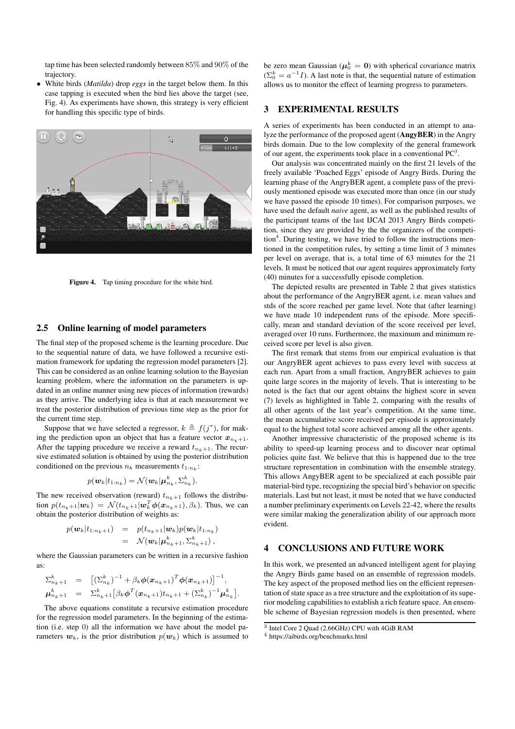tap time has been selected randomly between 85% and 90% of the trajectory.

• White birds (*Matilda*) drop *eggs* in the target below them. In this case tapping is executed when the bird lies above the target (see, Fig. 4). As experiments have shown, this strategy is very efficient for handling this specific type of birds.



Figure 4. Tap timing procedure for the white bird.

### 2.5 Online learning of model parameters

The final step of the proposed scheme is the learning procedure. Due to the sequential nature of data, we have followed a recursive estimation framework for updating the regression model parameters [2]. This can be considered as an online learning solution to the Bayesian learning problem, where the information on the parameters is updated in an online manner using new pieces of information (rewards) as they arrive. The underlying idea is that at each measurement we treat the posterior distribution of previous time step as the prior for the current time step.

Suppose that we have selected a regressor,  $k \triangleq f(j^*)$ , for making the prediction upon an object that has a feature vector  $x_{n_k+1}$ . After the tapping procedure we receive a reward  $t_{n_k+1}$ . The recursive estimated solution is obtained by using the posterior distribution conditioned on the previous  $n_k$  measurements  $t_{1:n_k}$ :

$$
p(\boldsymbol{w}_k|t_{1:n_k})=\mathcal{N}(\boldsymbol{w}_k|\boldsymbol{\mu}_{n_k}^k,\Sigma_{n_k}^k).
$$

The new received observation (reward)  $t_{n_k+1}$  follows the distribution  $p(t_{n_k+1}|\boldsymbol{w}_k) = \mathcal{N}(t_{n_k+1}|\boldsymbol{w}_k^T\boldsymbol{\phi}(\boldsymbol{x}_{n_k+1}), \beta_k)$ . Thus, we can obtain the posterior distribution of weights as:

$$
p(\boldsymbol{w}_k|t_{1:n_k+1}) = p(t_{n_k+1}|\boldsymbol{w}_k)p(\boldsymbol{w}_k|t_{1:n_k})
$$
  
=  $\mathcal{N}(\boldsymbol{w}_k|\boldsymbol{\mu}_{n_k+1}^k,\boldsymbol{\Sigma}_{n_k+1}^k),$ 

where the Gaussian parameters can be written in a recursive fashion as:

$$
\Sigma_{n_k+1}^k = \left[ (\Sigma_{n_k}^k)^{-1} + \beta_k \phi(\boldsymbol{x}_{n_k+1})^T \phi(\boldsymbol{x}_{n_k+1}) \right]^{-1},
$$
  

$$
\mu_{n_k+1}^k = \Sigma_{n_k+1}^k [\beta_k \phi^T(\boldsymbol{x}_{n_k+1}) t_{n_k+1} + (\Sigma_{n_k}^k)^{-1} \mu_{n_k}^k].
$$

The above equations constitute a recursive estimation procedure for the regression model parameters. In the beginning of the estimation (i.e. step 0) all the information we have about the model parameters  $w_k$ , is the prior distribution  $p(w_k)$  which is assumed to

be zero mean Gaussian ( $\mu_0^k = 0$ ) with spherical covariance matrix  $(\sum_{0}^{k} = a^{-1}I)$ . A last note is that, the sequential nature of estimation allows us to monitor the effect of learning progress to parameters.

#### 3 EXPERIMENTAL RESULTS

A series of experiments has been conducted in an attempt to analyze the performance of the proposed agent (AngyBER) in the Angry birds domain. Due to the low complexity of the general framework of our agent, the experiments took place in a conventional  $PC<sup>3</sup>$ .

Our analysis was concentrated mainly on the first 21 levels of the freely available 'Poached Eggs' episode of Angry Birds. During the learning phase of the AngryBER agent, a complete pass of the previously mentioned episode was executed more than once (in our study we have passed the episode 10 times). For comparison purposes, we have used the default *naive* agent, as well as the published results of the participant teams of the last IJCAI 2013 Angry Birds competition, since they are provided by the the organizers of the competition<sup>4</sup>. During testing, we have tried to follow the instructions mentioned in the competition rules, by setting a time limit of 3 minutes per level on average, that is, a total time of 63 minutes for the 21 levels. It must be noticed that our agent requires approximately forty (40) minutes for a successfully episode completion.

The depicted results are presented in Table 2 that gives statistics about the performance of the AngryBER agent, i.e. mean values and stds of the score reached per game level. Note that (after learning) we have made 10 independent runs of the episode. More specifically, mean and standard deviation of the score received per level, averaged over 10 runs. Furthermore, the maximum and minimum received score per level is also given.

The first remark that stems from our empirical evaluation is that our AngryBER agent achieves to pass every level with success at each run. Apart from a small fraction, AngryBER achieves to gain quite large scores in the majority of levels. That is interesting to be noted is the fact that our agent obtains the highest score in seven (7) levels as highlighted in Table 2, comparing with the results of all other agents of the last year's competition. At the same time, the mean accumulative score received per episode is approximately equal to the highest total score achieved among all the other agents.

Another impressive characteristic of the proposed scheme is its ability to speed-up learning process and to discover near optimal policies quite fast. We believe that this is happened due to the tree structure representation in combination with the ensemble strategy. This allows AngyBER agent to be specialized at each possible pair material-bird type, recognizing the special bird's behavior on specific materials. Last but not least, it must be noted that we have conducted a number preliminary experiments on Levels 22-42, where the results were similar making the generalization ability of our approach more evident.

### 4 CONCLUSIONS AND FUTURE WORK

In this work, we presented an advanced intelligent agent for playing the Angry Birds game based on an ensemble of regression models. The key aspect of the proposed method lies on the efficient representation of state space as a tree structure and the exploitation of its superior modeling capabilities to establish a rich feature space. An ensemble scheme of Bayesian regression models is then presented, where

<sup>3</sup> Intel Core 2 Quad (2.66GHz) CPU with 4GiB RAM

<sup>4</sup> https://aibirds.org/benchmarks.html